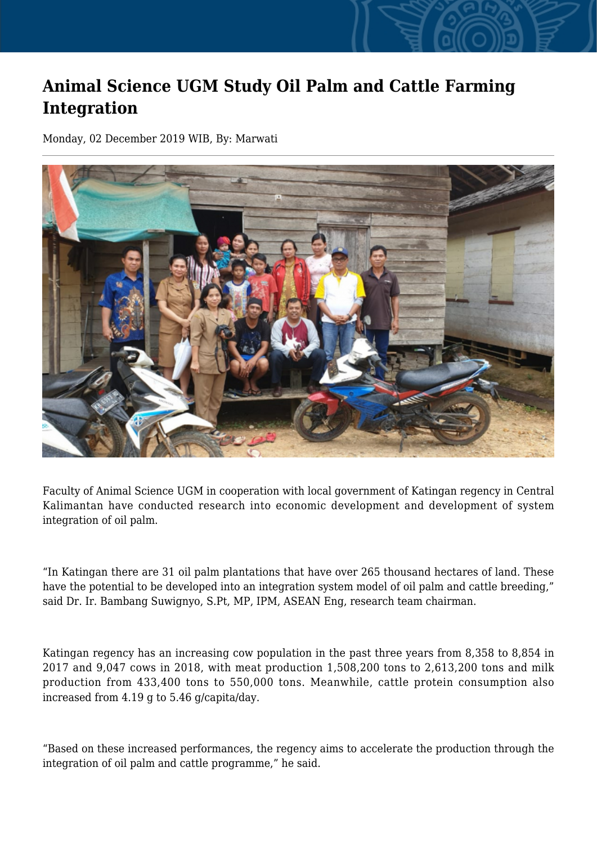## **Animal Science UGM Study Oil Palm and Cattle Farming Integration**

Monday, 02 December 2019 WIB, By: Marwati



Faculty of Animal Science UGM in cooperation with local government of Katingan regency in Central Kalimantan have conducted research into economic development and development of system integration of oil palm.

"In Katingan there are 31 oil palm plantations that have over 265 thousand hectares of land. These have the potential to be developed into an integration system model of oil palm and cattle breeding," said Dr. Ir. Bambang Suwignyo, S.Pt, MP, IPM, ASEAN Eng, research team chairman.

Katingan regency has an increasing cow population in the past three years from 8,358 to 8,854 in 2017 and 9,047 cows in 2018, with meat production 1,508,200 tons to 2,613,200 tons and milk production from 433,400 tons to 550,000 tons. Meanwhile, cattle protein consumption also increased from 4.19 g to 5.46 g/capita/day.

"Based on these increased performances, the regency aims to accelerate the production through the integration of oil palm and cattle programme," he said.